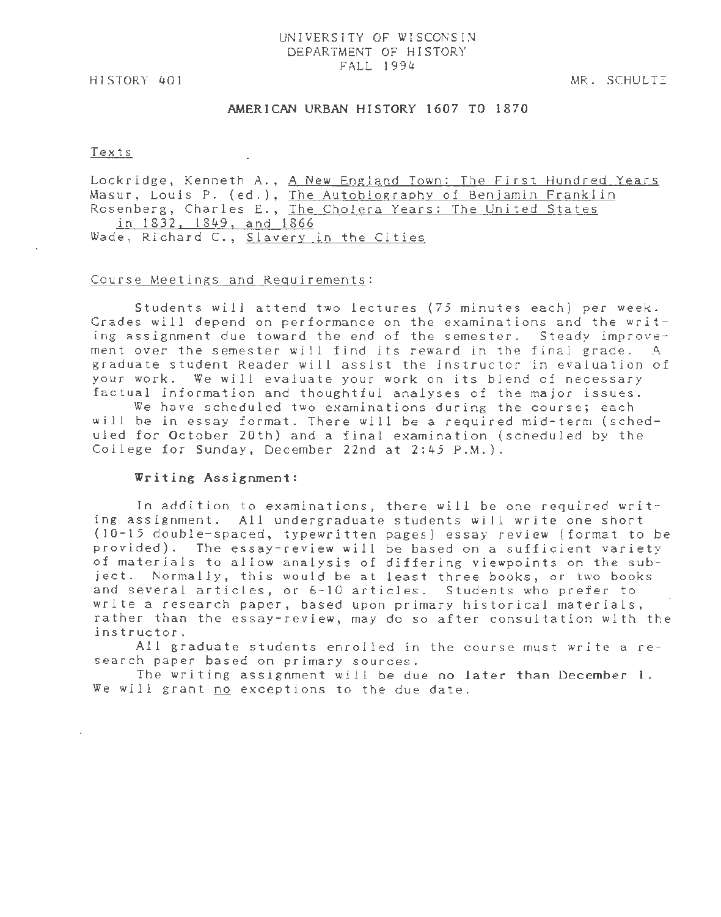### UNIVERSITY OF WISCONSIN DEPARTMENT OF HISTORY FALL 1994

HISTORY 401

MR. SCHULTI

## AMERICAN URBAN HISTORY 1607 TO 1870

#### Texts

Lockridge, Kenneth A., A New England Town: The First Hundred Years Masur, Louis P. (ed.), The Autobiography of Benjamin Franklin Rosenberg, Charles E., The Cholera Years: The United States in 1832, 1849, and 1866 Wade, Richard C., Slavery in the Cities

#### Course Meetings and Requirements:

Students will attend two lectures *(75* minutes each) per week. Grades will depend on performance on the examinations and the writing assignment due toward the end of the semester. Steady improvement over the semester will find its reward in the final grade. A graduate student Reader will assist the instructor in evaluation of your work. We will evaluate your work on its blend of necessary factual information and thoughtful analyses of the major issues.

We have scheduled two examinations during the course; each will be in essay format. There will be a required mid-term (scheduled for October 20th) and a final examination (scheduled by the College for Sunday, December 22nd at 2:45 P.M.).

#### Writing Assignment:

In addition to examinations, there will be one required writing assignment. All undergraduate students will write one short (10-15 double-spaced, typewritten pages) essay review (format to be provided). The essay-review will be based on a sufficient variety of materials to allow analysis of differing viewpoints on the subject. Normally, this would be at least three books, or two books and several articles, or 6-10 articles. Students who prefer to write a research paper, based upon primary historical materials, rather than the essay-review, may do so after consultation with the instructor.

All graduate students enrolled in the course must write a research paper based on primary sources.

The writing assignment will be due no later than December 1. We *will* grant no exceptions to the due date.